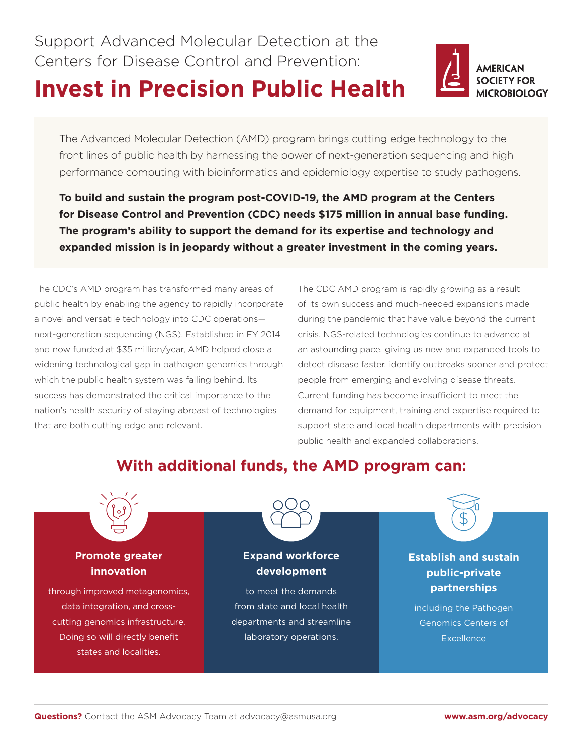Support Advanced Molecular Detection at the Centers for Disease Control and Prevention:

# **Invest in Precision Public Health**



The Advanced Molecular Detection (AMD) program brings cutting edge technology to the front lines of public health by harnessing the power of next-generation sequencing and high performance computing with bioinformatics and epidemiology expertise to study pathogens.

**To build and sustain the program post-COVID-19, the AMD program at the Centers for Disease Control and Prevention (CDC) needs \$175 million in annual base funding. The program's ability to support the demand for its expertise and technology and expanded mission is in jeopardy without a greater investment in the coming years.**

The CDC's AMD program has transformed many areas of public health by enabling the agency to rapidly incorporate a novel and versatile technology into CDC operations next-generation sequencing (NGS). Established in FY 2014 and now funded at \$35 million/year, AMD helped close a widening technological gap in pathogen genomics through which the public health system was falling behind. Its success has demonstrated the critical importance to the nation's health security of staying abreast of technologies that are both cutting edge and relevant.

The CDC AMD program is rapidly growing as a result of its own success and much-needed expansions made during the pandemic that have value beyond the current crisis. NGS-related technologies continue to advance at an astounding pace, giving us new and expanded tools to detect disease faster, identify outbreaks sooner and protect people from emerging and evolving disease threats. Current funding has become insufficient to meet the demand for equipment, training and expertise required to support state and local health departments with precision public health and expanded collaborations.

# **With additional funds, the AMD program can:**



### **Promote greater innovation**

through improved metagenomics, data integration, and crosscutting genomics infrastructure. Doing so will directly benefit states and localities.



### **Expand workforce development**

to meet the demands from state and local health departments and streamline laboratory operations.

**Establish and sustain public-private partnerships** 

including the Pathogen Genomics Centers of **Excellence**